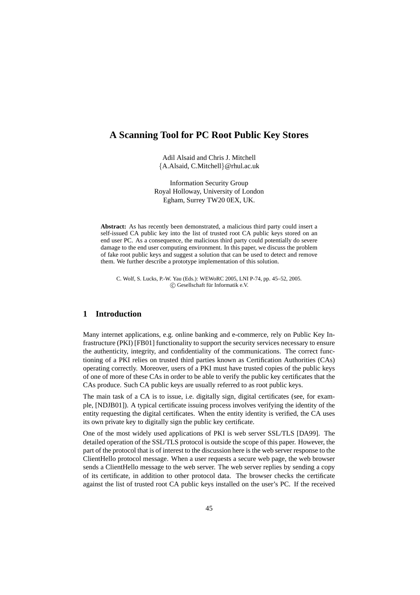# **A Scanning Tool for PC Root Public Key Stores**

Adil Alsaid and Chris J. Mitchell {A.Alsaid, C.Mitchell}@rhul.ac.uk

Information Security Group Royal Holloway, University of London Egham, Surrey TW20 0EX, UK.

**Abstract:** As has recently been demonstrated, a malicious third party could insert a self-issued CA public key into the list of trusted root CA public keys stored on an end user PC. As a consequence, the malicious third party could potentially do severe damage to the end user computing environment. In this paper, we discuss the problem of fake root public keys and suggest a solution that can be used to detect and remove them. We further describe a prototype implementation of this solution.

C. Wolf, S. Lucks, P.-W. Yau (Eds.): WEWoRC 2005, LNI P-74, pp. 45–52, 2005. °c Gesellschaft fur¨ Informatik e.V.

# **1 Introduction**

Many internet applications, e.g. online banking and e-commerce, rely on Public Key Infrastructure (PKI) [FB01] functionality to support the security services necessary to ensure the authenticity, integrity, and confidentiality of the communications. The correct functioning of a PKI relies on trusted third parties known as Certification Authorities (CAs) operating correctly. Moreover, users of a PKI must have trusted copies of the public keys of one of more of these CAs in order to be able to verify the public key certificates that the CAs produce. Such CA public keys are usually referred to as root public keys.

The main task of a CA is to issue, i.e. digitally sign, digital certificates (see, for example, [NDJB01]). A typical certificate issuing process involves verifying the identity of the entity requesting the digital certificates. When the entity identity is verified, the CA uses its own private key to digitally sign the public key certificate.

One of the most widely used applications of PKI is web server SSL/TLS [DA99]. The detailed operation of the SSL/TLS protocol is outside the scope of this paper. However, the part of the protocol that is of interest to the discussion here is the web server response to the ClientHello protocol message. When a user requests a secure web page, the web browser sends a ClientHello message to the web server. The web server replies by sending a copy of its certificate, in addition to other protocol data. The browser checks the certificate against the list of trusted root CA public keys installed on the user's PC. If the received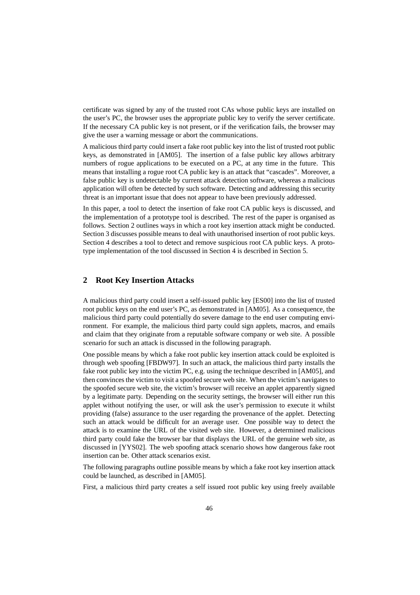certificate was signed by any of the trusted root CAs whose public keys are installed on the user's PC, the browser uses the appropriate public key to verify the server certificate. If the necessary CA public key is not present, or if the verification fails, the browser may give the user a warning message or abort the communications.

A malicious third party could insert a fake root public key into the list of trusted root public keys, as demonstrated in [AM05]. The insertion of a false public key allows arbitrary numbers of rogue applications to be executed on a PC, at any time in the future. This means that installing a rogue root CA public key is an attack that "cascades". Moreover, a false public key is undetectable by current attack detection software, whereas a malicious application will often be detected by such software. Detecting and addressing this security threat is an important issue that does not appear to have been previously addressed.

In this paper, a tool to detect the insertion of fake root CA public keys is discussed, and the implementation of a prototype tool is described. The rest of the paper is organised as follows. Section 2 outlines ways in which a root key insertion attack might be conducted. Section 3 discusses possible means to deal with unauthorised insertion of root public keys. Section 4 describes a tool to detect and remove suspicious root CA public keys. A prototype implementation of the tool discussed in Section 4 is described in Section 5.

### **2 Root Key Insertion Attacks**

A malicious third party could insert a self-issued public key [ES00] into the list of trusted root public keys on the end user's PC, as demonstrated in [AM05]. As a consequence, the malicious third party could potentially do severe damage to the end user computing environment. For example, the malicious third party could sign applets, macros, and emails and claim that they originate from a reputable software company or web site. A possible scenario for such an attack is discussed in the following paragraph.

One possible means by which a fake root public key insertion attack could be exploited is through web spoofing [FBDW97]. In such an attack, the malicious third party installs the fake root public key into the victim PC, e.g. using the technique described in [AM05], and then convinces the victim to visit a spoofed secure web site. When the victim's navigates to the spoofed secure web site, the victim's browser will receive an applet apparently signed by a legitimate party. Depending on the security settings, the browser will either run this applet without notifying the user, or will ask the user's permission to execute it whilst providing (false) assurance to the user regarding the provenance of the applet. Detecting such an attack would be difficult for an average user. One possible way to detect the attack is to examine the URL of the visited web site. However, a determined malicious third party could fake the browser bar that displays the URL of the genuine web site, as discussed in [YYS02]. The web spoofing attack scenario shows how dangerous fake root insertion can be. Other attack scenarios exist.

The following paragraphs outline possible means by which a fake root key insertion attack could be launched, as described in [AM05].

First, a malicious third party creates a self issued root public key using freely available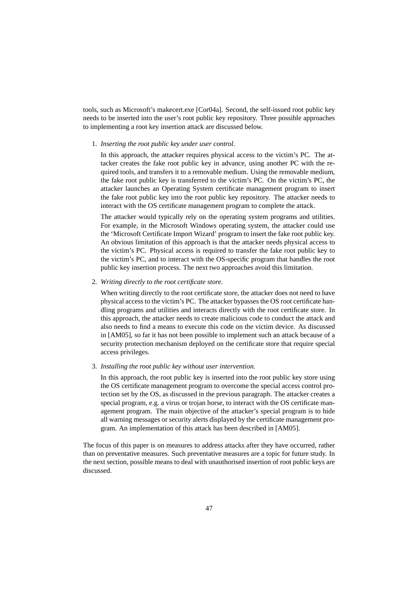tools, such as Microsoft's makecert.exe [Cor04a]. Second, the self-issued root public key needs to be inserted into the user's root public key repository. Three possible approaches to implementing a root key insertion attack are discussed below.

#### 1. *Inserting the root public key under user control.*

In this approach, the attacker requires physical access to the victim's PC. The attacker creates the fake root public key in advance, using another PC with the required tools, and transfers it to a removable medium. Using the removable medium, the fake root public key is transferred to the victim's PC. On the victim's PC, the attacker launches an Operating System certificate management program to insert the fake root public key into the root public key repository. The attacker needs to interact with the OS certificate management program to complete the attack.

The attacker would typically rely on the operating system programs and utilities. For example, in the Microsoft Windows operating system, the attacker could use the 'Microsoft Certificate Import Wizard' program to insert the fake root public key. An obvious limitation of this approach is that the attacker needs physical access to the victim's PC. Physical access is required to transfer the fake root public key to the victim's PC, and to interact with the OS-specific program that handles the root public key insertion process. The next two approaches avoid this limitation.

### 2. *Writing directly to the root certificate store.*

When writing directly to the root certificate store, the attacker does not need to have physical access to the victim's PC. The attacker bypasses the OS root certificate handling programs and utilities and interacts directly with the root certificate store. In this approach, the attacker needs to create malicious code to conduct the attack and also needs to find a means to execute this code on the victim device. As discussed in [AM05], so far it has not been possible to implement such an attack because of a security protection mechanism deployed on the certificate store that require special access privileges.

#### 3. *Installing the root public key without user intervention.*

In this approach, the root public key is inserted into the root public key store using the OS certificate management program to overcome the special access control protection set by the OS, as discussed in the previous paragraph. The attacker creates a special program, e.g. a virus or trojan horse, to interact with the OS certificate management program. The main objective of the attacker's special program is to hide all warning messages or security alerts displayed by the certificate management program. An implementation of this attack has been described in [AM05].

The focus of this paper is on measures to address attacks after they have occurred, rather than on preventative measures. Such preventative measures are a topic for future study. In the next section, possible means to deal with unauthorised insertion of root public keys are discussed.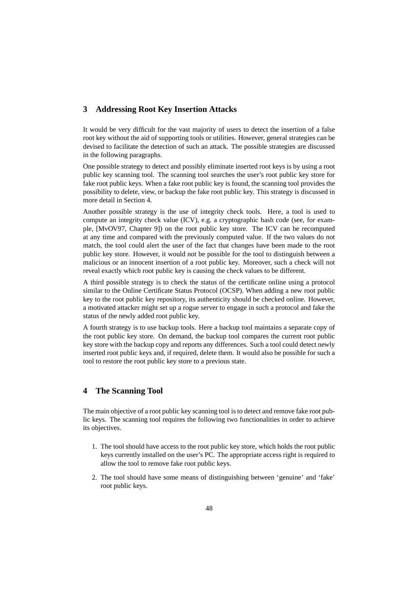## **3 Addressing Root Key Insertion Attacks**

It would be very difficult for the vast majority of users to detect the insertion of a false root key without the aid of supporting tools or utilities. However, general strategies can be devised to facilitate the detection of such an attack. The possible strategies are discussed in the following paragraphs.

One possible strategy to detect and possibly eliminate inserted root keys is by using a root public key scanning tool. The scanning tool searches the user's root public key store for fake root public keys. When a fake root public key is found, the scanning tool provides the possibility to delete, view, or backup the fake root public key. This strategy is discussed in more detail in Section 4.

Another possible strategy is the use of integrity check tools. Here, a tool is used to compute an integrity check value (ICV), e.g. a cryptographic hash code (see, for example, [MvOV97, Chapter 9]) on the root public key store. The ICV can be recomputed at any time and compared with the previously computed value. If the two values do not match, the tool could alert the user of the fact that changes have been made to the root public key store. However, it would not be possible for the tool to distinguish between a malicious or an innocent insertion of a root public key. Moreover, such a check will not reveal exactly which root public key is causing the check values to be different.

A third possible strategy is to check the status of the certificate online using a protocol similar to the Online Certificate Status Protocol (OCSP). When adding a new root public key to the root public key repository, its authenticity should be checked online. However, a motivated attacker might set up a rogue server to engage in such a protocol and fake the status of the newly added root public key.

A fourth strategy is to use backup tools. Here a backup tool maintains a separate copy of the root public key store. On demand, the backup tool compares the current root public key store with the backup copy and reports any differences. Such a tool could detect newly inserted root public keys and, if required, delete them. It would also be possible for such a tool to restore the root public key store to a previous state.

## **4 The Scanning Tool**

The main objective of a root public key scanning tool is to detect and remove fake root public keys. The scanning tool requires the following two functionalities in order to achieve its objectives.

- 1. The tool should have access to the root public key store, which holds the root public keys currently installed on the user's PC. The appropriate access right is required to allow the tool to remove fake root public keys.
- 2. The tool should have some means of distinguishing between 'genuine' and 'fake' root public keys.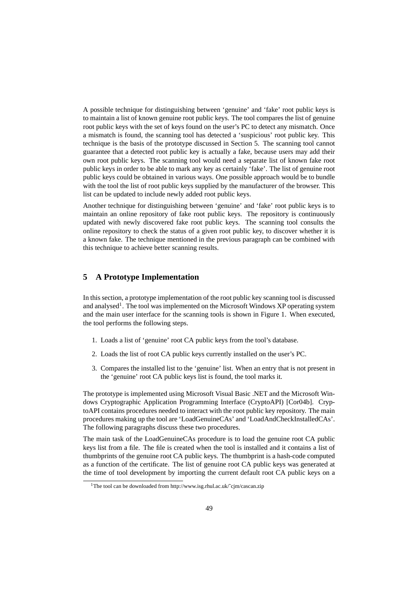A possible technique for distinguishing between 'genuine' and 'fake' root public keys is to maintain a list of known genuine root public keys. The tool compares the list of genuine root public keys with the set of keys found on the user's PC to detect any mismatch. Once a mismatch is found, the scanning tool has detected a 'suspicious' root public key. This technique is the basis of the prototype discussed in Section 5. The scanning tool cannot guarantee that a detected root public key is actually a fake, because users may add their own root public keys. The scanning tool would need a separate list of known fake root public keys in order to be able to mark any key as certainly 'fake'. The list of genuine root public keys could be obtained in various ways. One possible approach would be to bundle with the tool the list of root public keys supplied by the manufacturer of the browser. This list can be updated to include newly added root public keys.

Another technique for distinguishing between 'genuine' and 'fake' root public keys is to maintain an online repository of fake root public keys. The repository is continuously updated with newly discovered fake root public keys. The scanning tool consults the online repository to check the status of a given root public key, to discover whether it is a known fake. The technique mentioned in the previous paragraph can be combined with this technique to achieve better scanning results.

## **5 A Prototype Implementation**

In thissection, a prototype implementation of the root public key scanning tool is discussed and analysed<sup>1</sup>. The tool was implemented on the Microsoft Windows XP operating system and the main user interface for the scanning tools is shown in Figure 1. When executed, the tool performs the following steps.

- 1. Loads a list of 'genuine' root CA public keys from the tool's database.
- 2. Loads the list of root CA public keys currently installed on the user's PC.
- 3. Compares the installed list to the 'genuine' list. When an entry that is not present in the 'genuine' root CA public keys list is found, the tool marks it.

The prototype is implemented using Microsoft Visual Basic .NET and the Microsoft Windows Cryptographic Application Programming Interface (CryptoAPI) [Cor04b]. CryptoAPI contains procedures needed to interact with the root public key repository. The main procedures making up the tool are 'LoadGenuineCAs' and 'LoadAndCheckInstalledCAs'. The following paragraphs discuss these two procedures.

The main task of the LoadGenuineCAs procedure is to load the genuine root CA public keys list from a file. The file is created when the tool is installed and it contains a list of thumbprints of the genuine root CA public keys. The thumbprint is a hash-code computed as a function of the certificate. The list of genuine root CA public keys was generated at the time of tool development by importing the current default root CA public keys on a

<sup>1</sup>The tool can be downloaded from http://www.isg.rhul.ac.uk/˜cjm/cascan.zip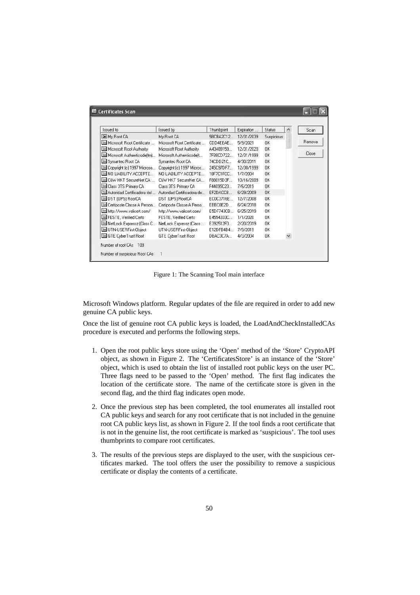| Issued to                   | Issued by                  | Thumbprint           | Expiration | Status     | $\hat{\phantom{a}}$ | Scan   |
|-----------------------------|----------------------------|----------------------|------------|------------|---------------------|--------|
| My Root CA                  | Mu Root CA                 | 5BCBA2C12            | 12/31/2039 | Suspicious |                     |        |
| Microsoft Root Certificate  | Microsoft Root Certificate | CDD4EEAE             | 5/9/2021   | 0K         |                     | Remove |
| Microsoft Root Authority    | Microsoft Root Authority   | A43489159            | 12/31/2020 | OK         |                     |        |
| Microsoft Authenticode(tm)  | Microsoft Authenticodeft   | 7F88CD722            | 12/31/1999 | OK         |                     | Close  |
| Symantec Root CA            | Symantec Root CA           | 74CDD21C             | 4/30/2011  | OK         |                     |        |
| Copyright (c) 1997 Microso  | Copyright [c] 1997 Micros  | 245C97DF7            | 12/30/1999 | OK         |                     |        |
| NO LIABILITY ACCEPTE        | NO LIABILITY ACCEPTE.      | 18F7C1FCC            | 1/7/2004   | 0K         |                     |        |
| <b>EXW HKT SecureNet CA</b> | C&W HKT SecureNet CA       | <b>E88015D3F</b>     | 10/16/2009 | <b>nk</b>  |                     |        |
| Class 3TS Primary CA        | Class 3TS Primary CA       | F44095C23            | 7/6/2019   | 0K         |                     |        |
| Autoridad Certificadora del | Autoridad Certificadora de | EF2DACCB             | 6/29/2009  | OK.        |                     |        |
| DST (UPS) RootCA            | DST (UPS) RootCA           | EC0C3716E            | 12/7/2008  | 0K         |                     |        |
| Certiposte Classe A Person  | Certiposte Classe A Perso  | EBBC0E2D             | 6/24/2018  | 0K         |                     |        |
| http://www.valicert.com/    | http://www.valicert.com/   | E5DF743CB. 6/25/2019 |            | 0K         |                     |        |
| FESTE, Verified Certs       | FESTE, Verified Certs      | E4554333C            | 1/1/2020   | 0K         |                     |        |
| NetLock Expressz (Class C   | NetLock Expressz (Class    | E392512F0            | 2/20/2019  | OK         |                     |        |
| UTN-USERFirst-Object        | UTN-USERFirst-Object       | E12DFB4B4            | 7/9/2019   | 0K         |                     |        |
| GTE CyberTrust Root         | GTE CyberTrust Root        | DBAC3C7A             | 4/3/2004   | 0K         |                     |        |

Figure 1: The Scanning Tool main interface

Microsoft Windows platform. Regular updates of the file are required in order to add new genuine CA public keys.

Once the list of genuine root CA public keys is loaded, the LoadAndCheckInstalledCAs procedure is executed and performs the following steps.

- 1. Open the root public keys store using the 'Open' method of the 'Store' CryptoAPI object, as shown in Figure 2. The 'CertificatesStore' is an instance of the 'Store' object, which is used to obtain the list of installed root public keys on the user PC. Three flags need to be passed to the 'Open' method. The first flag indicates the location of the certificate store. The name of the certificate store is given in the second flag, and the third flag indicates open mode.
- 2. Once the previous step has been completed, the tool enumerates all installed root CA public keys and search for any root certificate that is not included in the genuine root CA public keys list, as shown in Figure 2. If the tool finds a root certificate that is not in the genuine list, the root certificate is marked as 'suspicious'. The tool uses thumbprints to compare root certificates.
- 3. The results of the previous steps are displayed to the user, with the suspicious certificates marked. The tool offers the user the possibility to remove a suspicious certificate or display the contents of a certificate.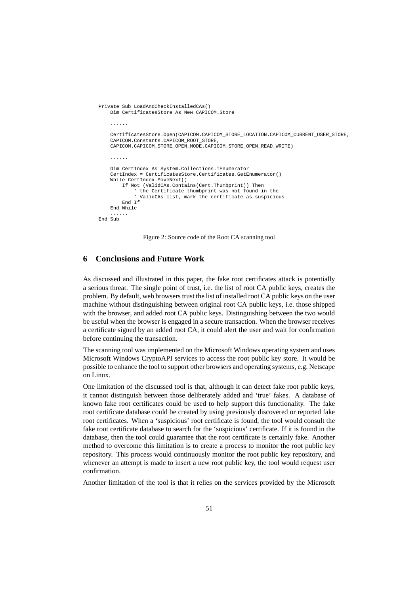```
Private Sub LoadAndCheckInstalledCAs()
    Dim CertificatesStore As New CAPICOM.Store
    ......
    CertificatesStore.Open(CAPICOM.CAPICOM_STORE_LOCATION.CAPICOM_CURRENT_USER_STORE,
    CAPICOM.Constants.CAPICOM_ROOT_STORE,
    CAPICOM.CAPICOM_STORE_OPEN_MODE.CAPICOM_STORE_OPEN_READ_WRITE)
    ......
    Dim CertIndex As System.Collections.IEnumerator
    CertIndex = CertificatesStore.Certificates.GetEnumerator()
    While CertIndex.MoveNext()
        If Not (ValidCAs.Contains(Cert.Thumbprint)) Then
             ' the Certificate thumbprint was not found in the
' ValidCAs list, mark the certificate as suspicious
        End If
    End While
    ......
End Sub
```
Figure 2: Source code of the Root CA scanning tool

# **6 Conclusions and Future Work**

As discussed and illustrated in this paper, the fake root certificates attack is potentially a serious threat. The single point of trust, i.e. the list of root CA public keys, creates the problem. By default, web browsers trust the list of installed root CA public keys on the user machine without distinguishing between original root CA public keys, i.e. those shipped with the browser, and added root CA public keys. Distinguishing between the two would be useful when the browser is engaged in a secure transaction. When the browser receives a certificate signed by an added root CA, it could alert the user and wait for confirmation before continuing the transaction.

The scanning tool was implemented on the Microsoft Windows operating system and uses Microsoft Windows CryptoAPI services to access the root public key store. It would be possible to enhance the tool to support other browsers and operating systems, e.g. Netscape on Linux.

One limitation of the discussed tool is that, although it can detect fake root public keys, it cannot distinguish between those deliberately added and 'true' fakes. A database of known fake root certificates could be used to help support this functionality. The fake root certificate database could be created by using previously discovered or reported fake root certificates. When a 'suspicious' root certificate is found, the tool would consult the fake root certificate database to search for the 'suspicious' certificate. If it is found in the database, then the tool could guarantee that the root certificate is certainly fake. Another method to overcome this limitation is to create a process to monitor the root public key repository. This process would continuously monitor the root public key repository, and whenever an attempt is made to insert a new root public key, the tool would request user confirmation.

Another limitation of the tool is that it relies on the services provided by the Microsoft